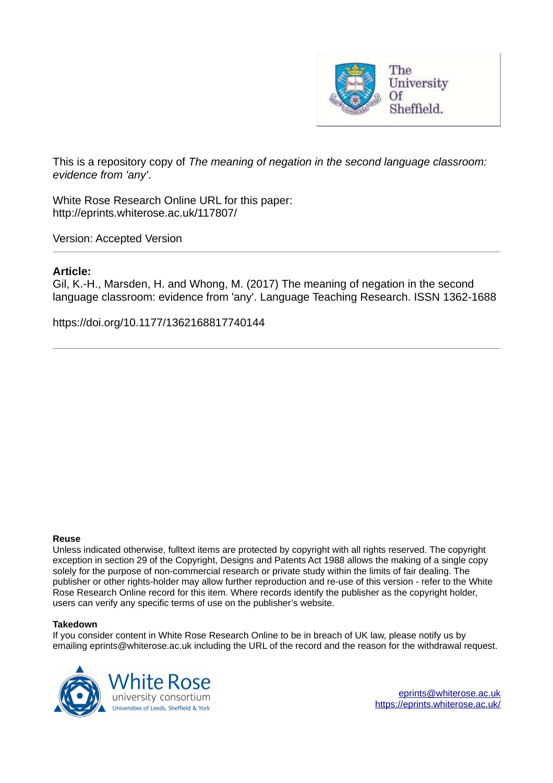

This is a repository copy of *The meaning of negation in the second language classroom: evidence from 'any'*.

White Rose Research Online URL for this paper: http://eprints.whiterose.ac.uk/117807/

Version: Accepted Version

# **Article:**

Gil, K.-H., Marsden, H. and Whong, M. (2017) The meaning of negation in the second language classroom: evidence from 'any'. Language Teaching Research. ISSN 1362-1688

https://doi.org/10.1177/1362168817740144

#### **Reuse**

Unless indicated otherwise, fulltext items are protected by copyright with all rights reserved. The copyright exception in section 29 of the Copyright, Designs and Patents Act 1988 allows the making of a single copy solely for the purpose of non-commercial research or private study within the limits of fair dealing. The publisher or other rights-holder may allow further reproduction and re-use of this version - refer to the White Rose Research Online record for this item. Where records identify the publisher as the copyright holder, users can verify any specific terms of use on the publisher's website.

#### **Takedown**

If you consider content in White Rose Research Online to be in breach of UK law, please notify us by emailing eprints@whiterose.ac.uk including the URL of the record and the reason for the withdrawal request.

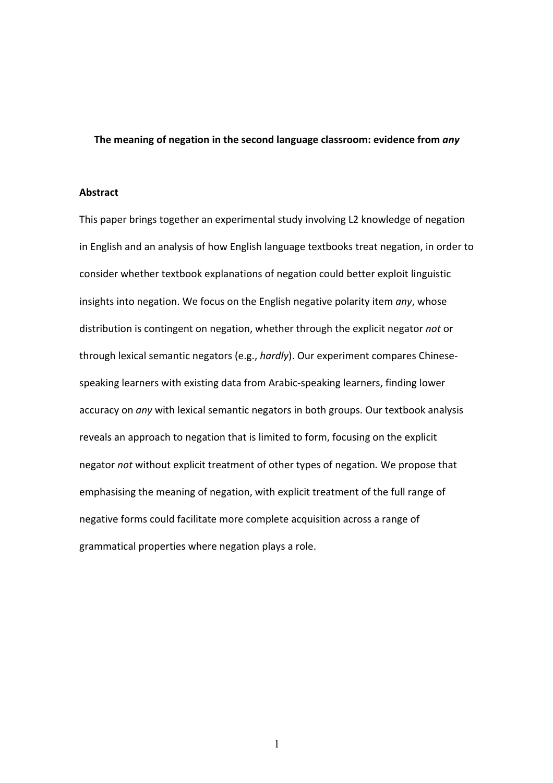#### **The meaning of negation in the second language classroom: evidence from** *any*

# **Abstract**

This paper brings together an experimental study involving L2 knowledge of negation in English and an analysis of how English language textbooks treat negation, in order to consider whether textbook explanations of negation could better exploit linguistic insights into negation. We focus on the English negative polarity item *any*, whose distribution is contingent on negation, whether through the explicit negator *not* or through lexical semantic negators (e.g., *hardly*). Our experiment compares Chinese‐ speaking learners with existing data from Arabic‐speaking learners, finding lower accuracy on *any* with lexical semantic negators in both groups. Our textbook analysis reveals an approach to negation that is limited to form, focusing on the explicit negator *not* without explicit treatment of other types of negation*.* We propose that emphasising the meaning of negation, with explicit treatment of the full range of negative forms could facilitate more complete acquisition across a range of grammatical properties where negation plays a role.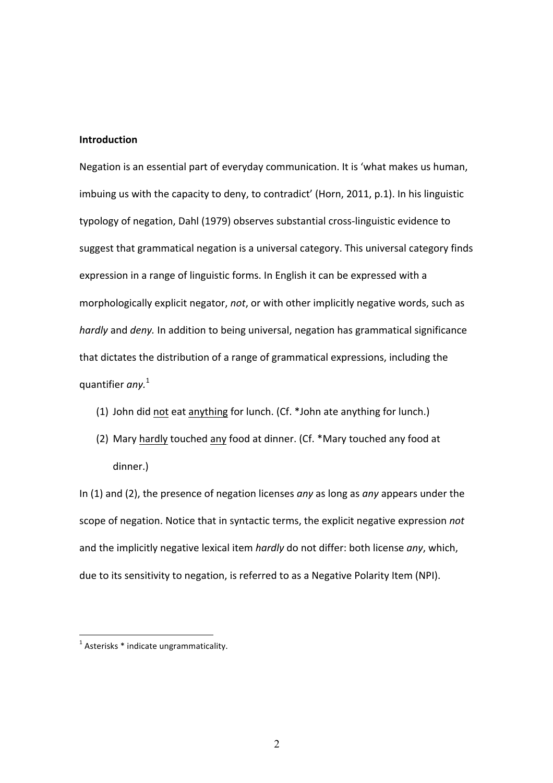# **Introduction**

Negation is an essential part of everyday communication. It is 'what makes us human, imbuing us with the capacity to deny, to contradict' (Horn, 2011, p.1). In his linguistic typology of negation, Dahl (1979) observes substantial cross‐linguistic evidence to suggest that grammatical negation is a universal category. This universal category finds expression in a range of linguistic forms. In English it can be expressed with a morphologically explicit negator, *not*, or with other implicitly negative words, such as *hardly* and *deny.* In addition to being universal, negation has grammatical significance that dictates the distribution of a range of grammatical expressions, including the quantifier *any.* 1

- (1) John did not eat anything for lunch. (Cf. \*John ate anything for lunch.)
- (2) Mary hardly touched any food at dinner. (Cf. \*Mary touched any food at dinner.)

In (1) and (2), the presence of negation licenses *any* as long as *any* appears under the scope of negation. Notice that in syntactic terms, the explicit negative expression *not*  and the implicitly negative lexical item *hardly* do not differ: both license *any*, which, due to its sensitivity to negation, is referred to as a Negative Polarity Item (NPI).

l.

 $<sup>1</sup>$  Asterisks  $*$  indicate ungrammaticality.</sup>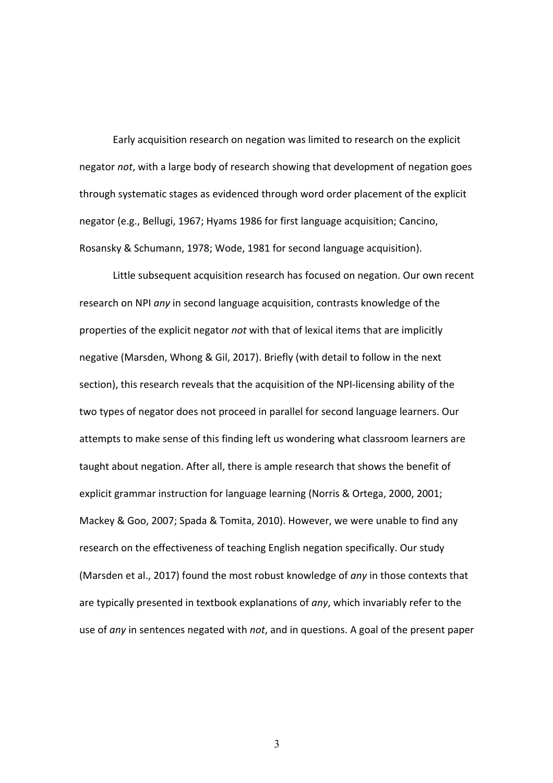Early acquisition research on negation was limited to research on the explicit negator *not*, with a large body of research showing that development of negation goes through systematic stages as evidenced through word order placement of the explicit negator (e.g., Bellugi, 1967; Hyams 1986 for first language acquisition; Cancino, Rosansky & Schumann, 1978; Wode, 1981 for second language acquisition).

Little subsequent acquisition research has focused on negation. Our own recent research on NPI *any* in second language acquisition, contrasts knowledge of the properties of the explicit negator *not* with that of lexical items that are implicitly negative (Marsden, Whong & Gil, 2017). Briefly (with detail to follow in the next section), this research reveals that the acquisition of the NPI-licensing ability of the two types of negator does not proceed in parallel for second language learners. Our attempts to make sense of this finding left us wondering what classroom learners are taught about negation. After all, there is ample research that shows the benefit of explicit grammar instruction for language learning (Norris & Ortega, 2000, 2001; Mackey & Goo, 2007; Spada & Tomita, 2010). However, we were unable to find any research on the effectiveness of teaching English negation specifically. Our study (Marsden et al., 2017) found the most robust knowledge of *any* in those contexts that are typically presented in textbook explanations of *any*, which invariably refer to the use of *any* in sentences negated with *not*, and in questions. A goal of the present paper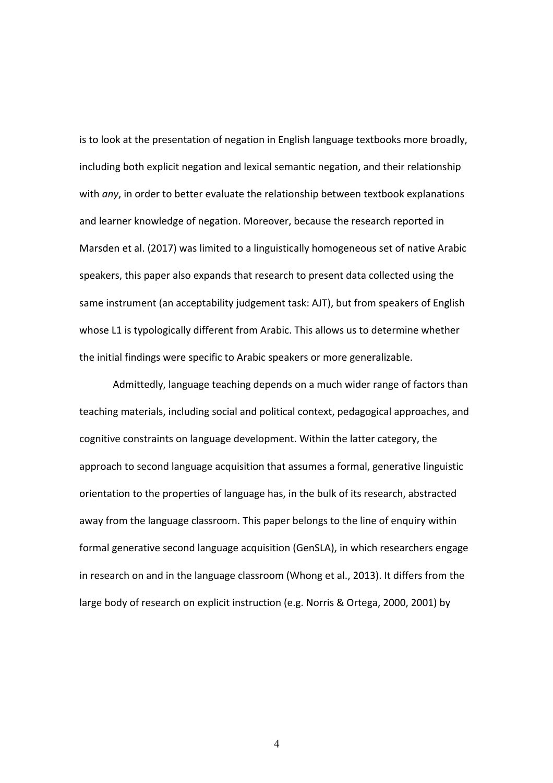is to look at the presentation of negation in English language textbooks more broadly, including both explicit negation and lexical semantic negation, and their relationship with *any*, in order to better evaluate the relationship between textbook explanations and learner knowledge of negation. Moreover, because the research reported in Marsden et al. (2017) was limited to a linguistically homogeneous set of native Arabic speakers, this paper also expands that research to present data collected using the same instrument (an acceptability judgement task: AJT), but from speakers of English whose L1 is typologically different from Arabic. This allows us to determine whether the initial findings were specific to Arabic speakers or more generalizable.

Admittedly, language teaching depends on a much wider range of factors than teaching materials, including social and political context, pedagogical approaches, and cognitive constraints on language development. Within the latter category, the approach to second language acquisition that assumes a formal, generative linguistic orientation to the properties of language has, in the bulk of its research, abstracted away from the language classroom. This paper belongs to the line of enquiry within formal generative second language acquisition (GenSLA), in which researchers engage in research on and in the language classroom (Whong et al., 2013). It differs from the large body of research on explicit instruction (e.g. Norris & Ortega, 2000, 2001) by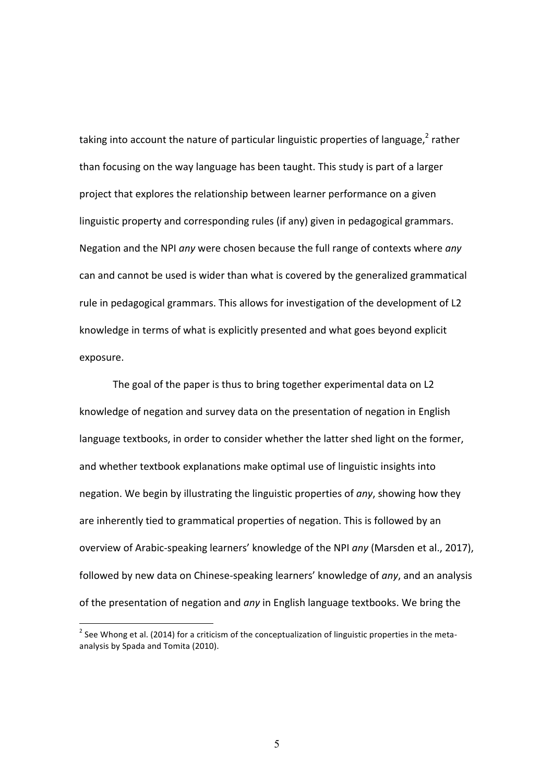taking into account the nature of particular linguistic properties of language,<sup>2</sup> rather than focusing on the way language has been taught. This study is part of a larger project that explores the relationship between learner performance on a given linguistic property and corresponding rules (if any) given in pedagogical grammars. Negation and the NPI *any* were chosen because the full range of contexts where *any* can and cannot be used is wider than what is covered by the generalized grammatical rule in pedagogical grammars. This allows for investigation of the development of L2 knowledge in terms of what is explicitly presented and what goes beyond explicit exposure.

The goal of the paper is thus to bring together experimental data on L2 knowledge of negation and survey data on the presentation of negation in English language textbooks, in order to consider whether the latter shed light on the former, and whether textbook explanations make optimal use of linguistic insights into negation. We begin by illustrating the linguistic properties of *any*, showing how they are inherently tied to grammatical properties of negation. This is followed by an overview of Arabic‐speaking learners' knowledge of the NPI *any* (Marsden et al., 2017), followed by new data on Chinese‐speaking learners' knowledge of *any*, and an analysis of the presentation of negation and *any* in English language textbooks. We bring the

l.

<sup>&</sup>lt;sup>2</sup> See Whong et al. (2014) for a criticism of the conceptualization of linguistic properties in the metaanalysis by Spada and Tomita (2010).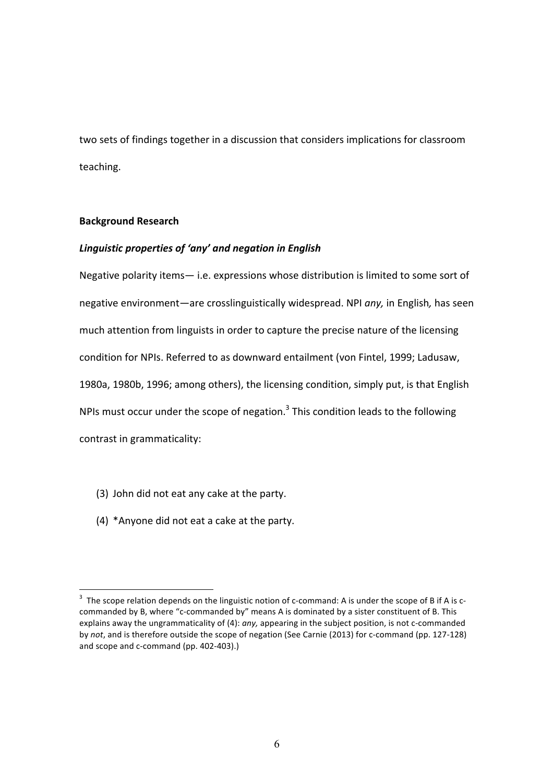two sets of findings together in a discussion that considers implications for classroom teaching.

#### **Background Research**

l.

# *Linguistic properties of 'any' and negation in English*

Negative polarity items— i.e. expressions whose distribution is limited to some sort of negative environment—are crosslinguistically widespread. NPI *any,* in English*,* has seen much attention from linguists in order to capture the precise nature of the licensing condition for NPIs. Referred to as downward entailment (von Fintel, 1999; Ladusaw, 1980a, 1980b, 1996; among others), the licensing condition, simply put, is that English NPIs must occur under the scope of negation. $3$  This condition leads to the following contrast in grammaticality:

- (3) John did not eat any cake at the party.
- (4) \*Anyone did not eat a cake at the party.

<sup>&</sup>lt;sup>3</sup> The scope relation depends on the linguistic notion of c-command: A is under the scope of B if A is ccommanded by B, where "c-commanded by" means A is dominated by a sister constituent of B. This explains away the ungrammaticality of (4): *any,* appearing in the subject position, is not c‐commanded by not, and is therefore outside the scope of negation (See Carnie (2013) for c-command (pp. 127-128) and scope and c‐command (pp. 402‐403).)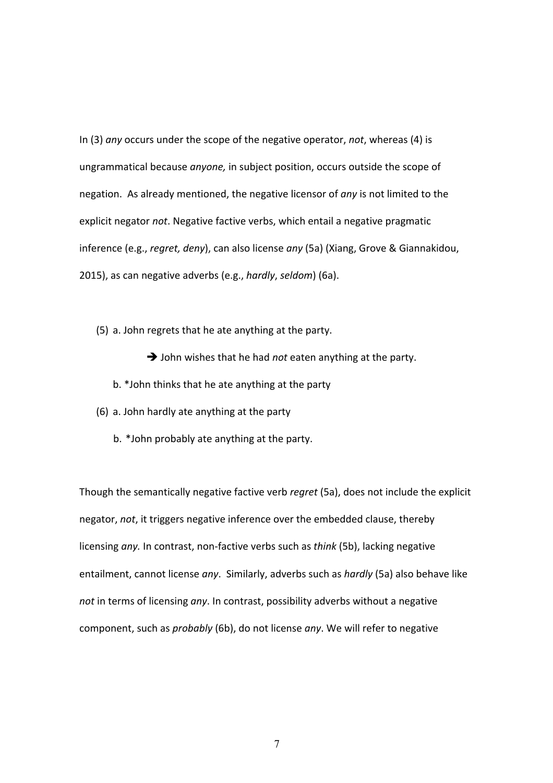In (3) *any* occurs under the scope of the negative operator, *not*, whereas (4) is ungrammatical because *anyone,* in subject position, occurs outside the scope of negation. As already mentioned, the negative licensor of *any* is not limited to the explicit negator *not*. Negative factive verbs, which entail a negative pragmatic inference (e.g., *regret, deny*), can also license *any* (5a) (Xiang, Grove & Giannakidou, 2015), as can negative adverbs (e.g., *hardly*, *seldom*) (6a).

(5) a. John regrets that he ate anything at the party.

John wishes that he had *not* eaten anything at the party.

- b. \*John thinks that he ate anything at the party
- (6) a. John hardly ate anything at the party
	- b. \*John probably ate anything at the party.

Though the semantically negative factive verb *regret* (5a), does not include the explicit negator, *not*, it triggers negative inference over the embedded clause, thereby licensing *any.* In contrast, non‐factive verbs such as *think* (5b), lacking negative entailment, cannot license *any*. Similarly, adverbs such as *hardly* (5a) also behave like *not* in terms of licensing *any*. In contrast, possibility adverbs without a negative component, such as *probably* (6b), do not license *any*. We will refer to negative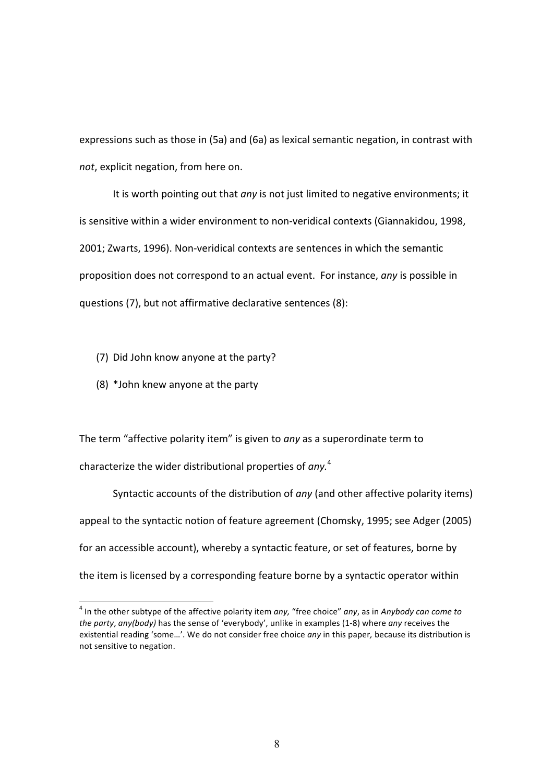expressions such as those in (5a) and (6a) as lexical semantic negation, in contrast with *not*, explicit negation, from here on.

It is worth pointing out that *any* is not just limited to negative environments; it is sensitive within a wider environment to non‐veridical contexts (Giannakidou, 1998, 2001; Zwarts, 1996). Non‐veridical contexts are sentences in which the semantic proposition does not correspond to an actual event. For instance, *any* is possible in questions (7), but not affirmative declarative sentences (8):

- (7) Did John know anyone at the party?
- (8) \*John knew anyone at the party

l.

The term "affective polarity item" is given to *any* as a superordinate term to characterize the wider distributional properties of *any.*<sup>4</sup>

Syntactic accounts of the distribution of *any* (and other affective polarity items) appeal to the syntactic notion of feature agreement (Chomsky, 1995; see Adger (2005) for an accessible account), whereby a syntactic feature, or set of features, borne by the item is licensed by a corresponding feature borne by a syntactic operator within

<sup>4</sup> In the other subtype of the affective polarity item *any,* "free choice" *any*, as in *Anybody can come to the party*, *any(body)* has the sense of 'everybody', unlike in examples (1‐8) where *any* receives the existential reading 'some…'. We do not consider free choice *any* in this paper*,* because its distribution is not sensitive to negation.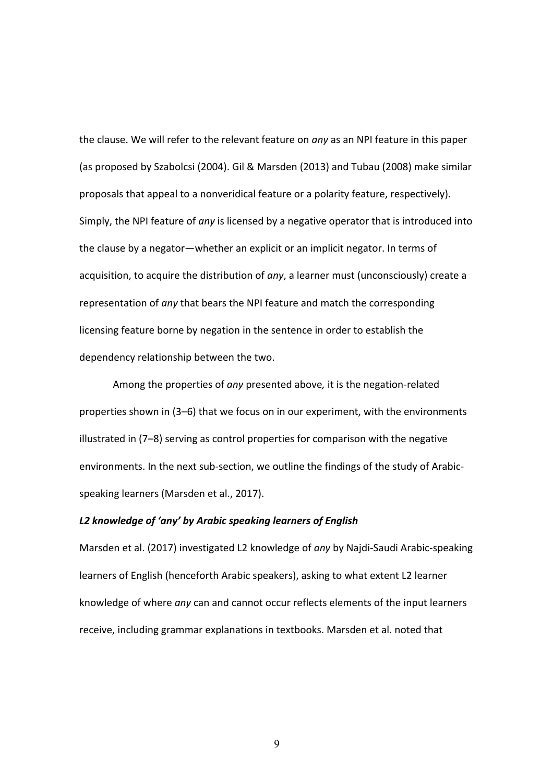the clause. We will refer to the relevant feature on *any* as an NPI feature in this paper (as proposed by Szabolcsi (2004). Gil & Marsden (2013) and Tubau (2008) make similar proposals that appeal to a nonveridical feature or a polarity feature, respectively). Simply, the NPI feature of *any* is licensed by a negative operator that is introduced into the clause by a negator—whether an explicit or an implicit negator. In terms of acquisition, to acquire the distribution of *any*, a learner must (unconsciously) create a representation of *any* that bears the NPI feature and match the corresponding licensing feature borne by negation in the sentence in order to establish the dependency relationship between the two.

Among the properties of *any* presented above*,* it is the negation‐related properties shown in (3–6) that we focus on in our experiment, with the environments illustrated in (7–8) serving as control properties for comparison with the negative environments. In the next sub-section, we outline the findings of the study of Arabicspeaking learners (Marsden et al., 2017).

#### *L2 knowledge of 'any' by Arabic speaking learners of English*

Marsden et al. (2017) investigated L2 knowledge of *any* by Najdi‐Saudi Arabic‐speaking learners of English (henceforth Arabic speakers), asking to what extent L2 learner knowledge of where *any* can and cannot occur reflects elements of the input learners receive, including grammar explanations in textbooks. Marsden et al. noted that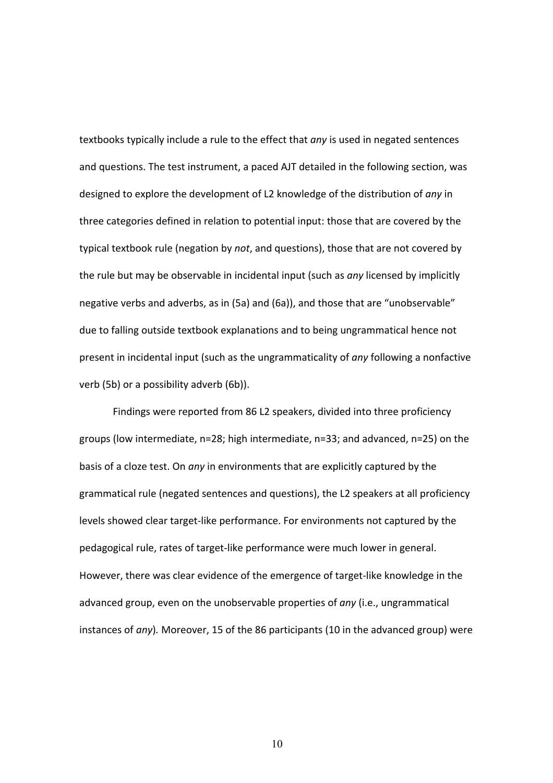textbooks typically include a rule to the effect that *any* is used in negated sentences and questions. The test instrument, a paced AJT detailed in the following section, was designed to explore the development of L2 knowledge of the distribution of *any* in three categories defined in relation to potential input: those that are covered by the typical textbook rule (negation by *not*, and questions), those that are not covered by the rule but may be observable in incidental input (such as *any* licensed by implicitly negative verbs and adverbs, as in (5a) and (6a)), and those that are "unobservable" due to falling outside textbook explanations and to being ungrammatical hence not present in incidental input (such as the ungrammaticality of *any* following a nonfactive verb (5b) or a possibility adverb (6b)).

Findings were reported from 86 L2 speakers, divided into three proficiency groups (low intermediate, n=28; high intermediate, n=33; and advanced, n=25) on the basis of a cloze test. On *any* in environments that are explicitly captured by the grammatical rule (negated sentences and questions), the L2 speakers at all proficiency levels showed clear target‐like performance. For environments not captured by the pedagogical rule, rates of target‐like performance were much lower in general. However, there was clear evidence of the emergence of target‐like knowledge in the advanced group, even on the unobservable properties of *any* (i.e., ungrammatical instances of *any*)*.* Moreover, 15 of the 86 participants (10 in the advanced group) were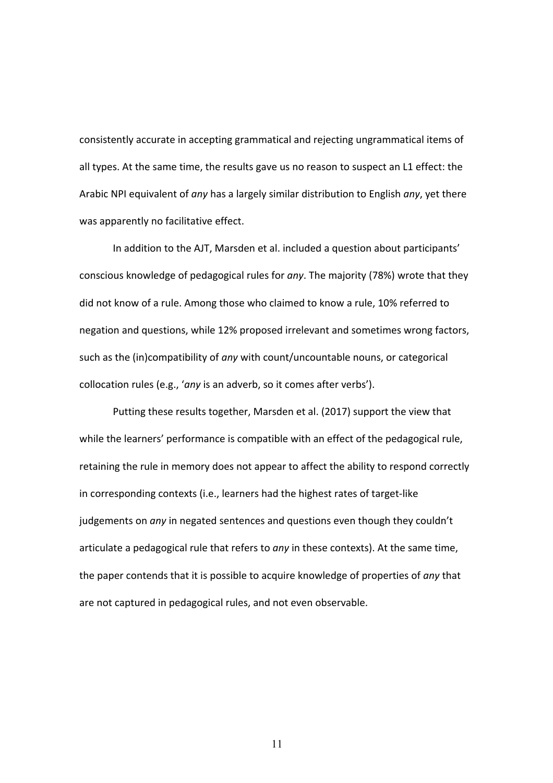consistently accurate in accepting grammatical and rejecting ungrammatical items of all types. At the same time, the results gave us no reason to suspect an L1 effect: the Arabic NPI equivalent of *any* has a largely similar distribution to English *any*, yet there was apparently no facilitative effect.

In addition to the AJT, Marsden et al. included a question about participants' conscious knowledge of pedagogical rules for *any*. The majority (78%) wrote that they did not know of a rule. Among those who claimed to know a rule, 10% referred to negation and questions, while 12% proposed irrelevant and sometimes wrong factors, such as the (in)compatibility of *any* with count/uncountable nouns, or categorical collocation rules (e.g., '*any* is an adverb, so it comes after verbs').

Putting these results together, Marsden et al. (2017) support the view that while the learners' performance is compatible with an effect of the pedagogical rule, retaining the rule in memory does not appear to affect the ability to respond correctly in corresponding contexts (i.e., learners had the highest rates of target‐like judgements on *any* in negated sentences and questions even though they couldn't articulate a pedagogical rule that refers to *any* in these contexts). At the same time, the paper contends that it is possible to acquire knowledge of properties of *any* that are not captured in pedagogical rules, and not even observable.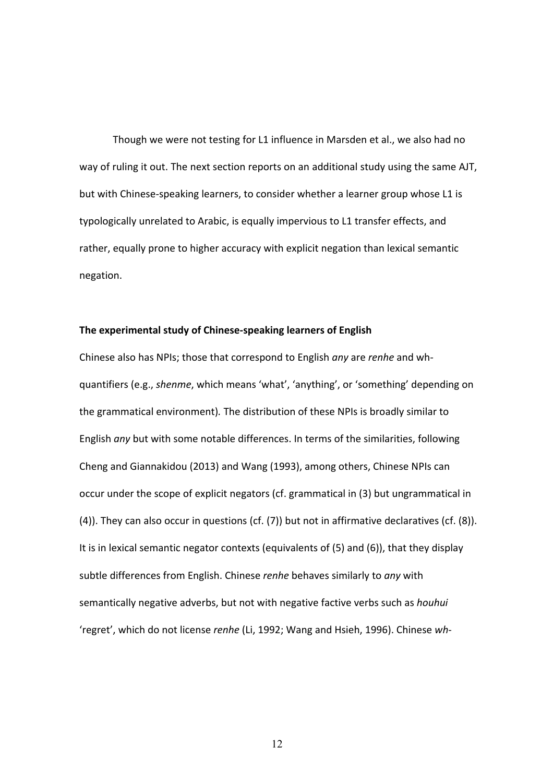Though we were not testing for L1 influence in Marsden et al., we also had no way of ruling it out. The next section reports on an additional study using the same AJT, but with Chinese‐speaking learners, to consider whether a learner group whose L1 is typologically unrelated to Arabic, is equally impervious to L1 transfer effects, and rather, equally prone to higher accuracy with explicit negation than lexical semantic negation.

#### **The experimental study of Chinese‐speaking learners of English**

Chinese also has NPIs; those that correspond to English *any* are *renhe* and wh*‐* quantifiers (e.g., *shenme*, which means 'what', 'anything', or 'something' depending on the grammatical environment)*.* The distribution of these NPIs is broadly similar to English *any* but with some notable differences. In terms of the similarities, following Cheng and Giannakidou (2013) and Wang (1993), among others, Chinese NPIs can occur under the scope of explicit negators (cf. grammatical in (3) but ungrammatical in (4)). They can also occur in questions (cf. (7)) but not in affirmative declaratives (cf. (8)). It is in lexical semantic negator contexts (equivalents of (5) and (6)), that they display subtle differences from English. Chinese *renhe* behaves similarly to *any* with semantically negative adverbs, but not with negative factive verbs such as *houhui*  'regret', which do not license *renhe* (Li, 1992; Wang and Hsieh, 1996). Chinese *wh*‐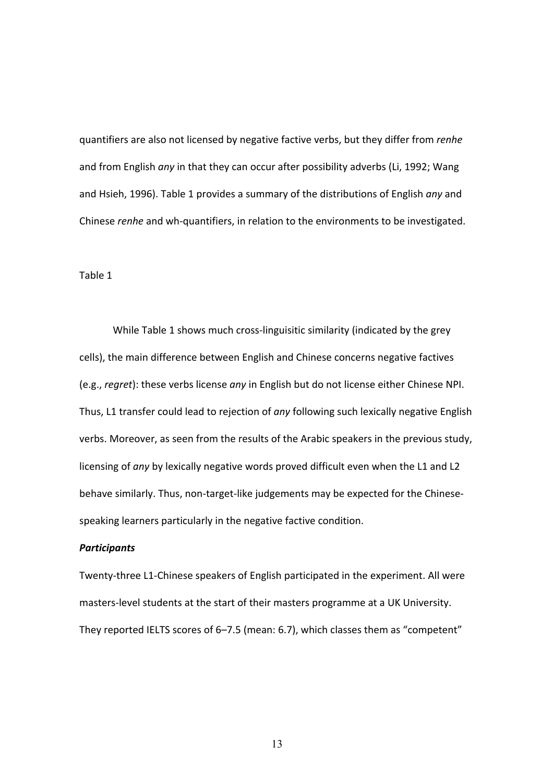quantifiers are also not licensed by negative factive verbs, but they differ from *renhe* and from English *any* in that they can occur after possibility adverbs (Li, 1992; Wang and Hsieh, 1996). Table 1 provides a summary of the distributions of English *any* and Chinese *renhe* and wh‐quantifiers, in relation to the environments to be investigated.

Table 1

While Table 1 shows much cross-linguisitic similarity (indicated by the grey cells), the main difference between English and Chinese concerns negative factives (e.g., *regret*): these verbs license *any* in English but do not license either Chinese NPI. Thus, L1 transfer could lead to rejection of *any* following such lexically negative English verbs. Moreover, as seen from the results of the Arabic speakers in the previous study, licensing of *any* by lexically negative words proved difficult even when the L1 and L2 behave similarly. Thus, non-target-like judgements may be expected for the Chinesespeaking learners particularly in the negative factive condition.

# *Participants*

Twenty‐three L1‐Chinese speakers of English participated in the experiment. All were masters‐level students at the start of their masters programme at a UK University. They reported IELTS scores of 6–7.5 (mean: 6.7), which classes them as "competent"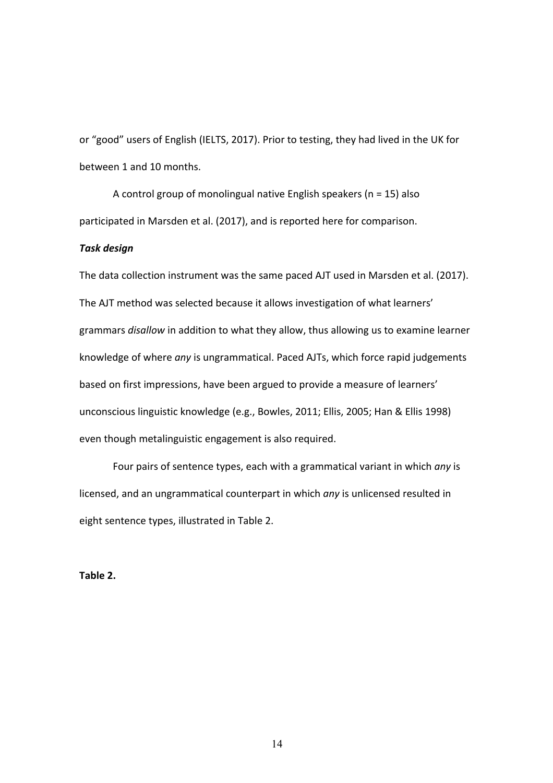or "good" users of English (IELTS, 2017). Prior to testing, they had lived in the UK for between 1 and 10 months.

A control group of monolingual native English speakers ( $n = 15$ ) also participated in Marsden et al. (2017), and is reported here for comparison.

#### *Task design*

The data collection instrument was the same paced AJT used in Marsden et al. (2017). The AJT method was selected because it allows investigation of what learners' grammars *disallow* in addition to what they allow, thus allowing us to examine learner knowledge of where *any* is ungrammatical. Paced AJTs, which force rapid judgements based on first impressions, have been argued to provide a measure of learners' unconscious linguistic knowledge (e.g., Bowles, 2011; Ellis, 2005; Han & Ellis 1998) even though metalinguistic engagement is also required.

Four pairs of sentence types, each with a grammatical variant in which *any* is licensed, and an ungrammatical counterpart in which *any* is unlicensed resulted in eight sentence types, illustrated in Table 2.

**Table 2.**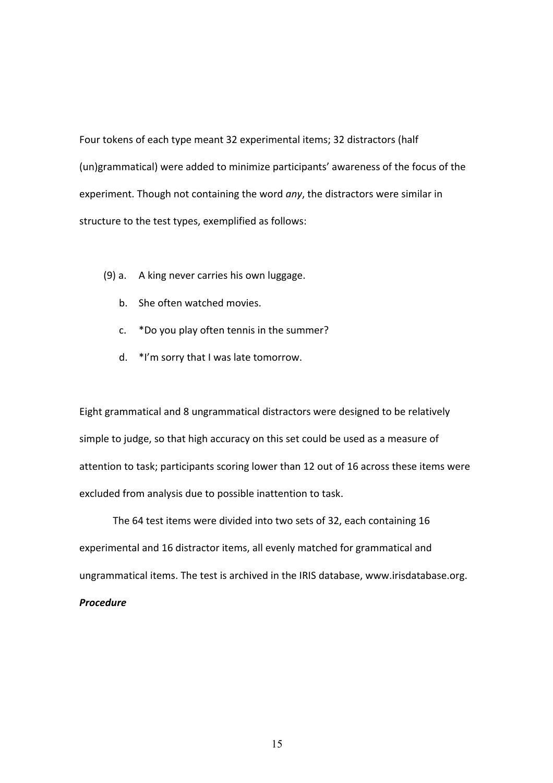Four tokens of each type meant 32 experimental items; 32 distractors (half (un)grammatical) were added to minimize participants' awareness of the focus of the experiment. Though not containing the word *any*, the distractors were similar in structure to the test types, exemplified as follows:

- (9) a. A king never carries his own luggage.
	- b. She often watched movies.
	- c. \*Do you play often tennis in the summer?
	- d. \*I'm sorry that I was late tomorrow.

Eight grammatical and 8 ungrammatical distractors were designed to be relatively simple to judge, so that high accuracy on this set could be used as a measure of attention to task; participants scoring lower than 12 out of 16 across these items were excluded from analysis due to possible inattention to task.

The 64 test items were divided into two sets of 32, each containing 16 experimental and 16 distractor items, all evenly matched for grammatical and ungrammatical items. The test is archived in the IRIS database, www.irisdatabase.org. *Procedure*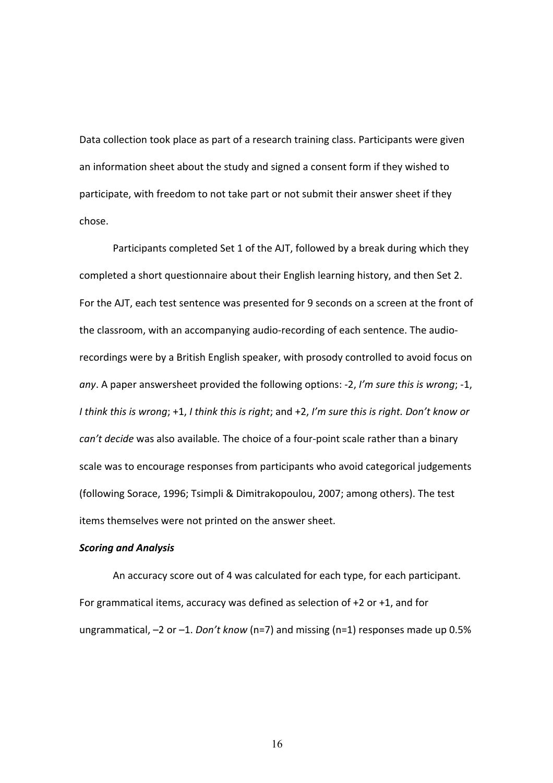Data collection took place as part of a research training class. Participants were given an information sheet about the study and signed a consent form if they wished to participate, with freedom to not take part or not submit their answer sheet if they chose.

Participants completed Set 1 of the AJT, followed by a break during which they completed a short questionnaire about their English learning history, and then Set 2. For the AJT, each test sentence was presented for 9 seconds on a screen at the front of the classroom, with an accompanying audio‐recording of each sentence. The audio‐ recordings were by a British English speaker, with prosody controlled to avoid focus on *any*. A paper answersheet provided the following options: ‐2, *I'm sure this is wrong*; ‐1, *I think this is wrong*; +1, *I think this is right*; and +2, *I'm sure this is right. Don't know or can't decide* was also available*.* The choice of a four‐point scale rather than a binary scale was to encourage responses from participants who avoid categorical judgements (following Sorace, 1996; Tsimpli & Dimitrakopoulou, 2007; among others). The test items themselves were not printed on the answer sheet.

#### *Scoring and Analysis*

An accuracy score out of 4 was calculated for each type, for each participant. For grammatical items, accuracy was defined as selection of +2 or +1, and for ungrammatical, –2 or –1. *Don't know* (n=7) and missing (n=1) responses made up 0.5%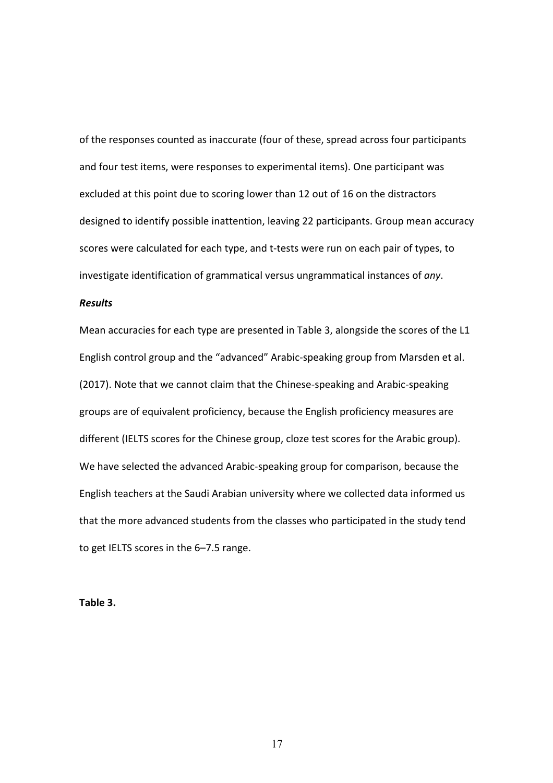of the responses counted as inaccurate (four of these, spread across four participants and four test items, were responses to experimental items). One participant was excluded at this point due to scoring lower than 12 out of 16 on the distractors designed to identify possible inattention, leaving 22 participants. Group mean accuracy scores were calculated for each type, and t-tests were run on each pair of types, to investigate identification of grammatical versus ungrammatical instances of *any*.

# *Results*

Mean accuracies for each type are presented in Table 3, alongside the scores of the L1 English control group and the "advanced" Arabic‐speaking group from Marsden et al. (2017). Note that we cannot claim that the Chinese‐speaking and Arabic‐speaking groups are of equivalent proficiency, because the English proficiency measures are different (IELTS scores for the Chinese group, cloze test scores for the Arabic group). We have selected the advanced Arabic‐speaking group for comparison, because the English teachers at the Saudi Arabian university where we collected data informed us that the more advanced students from the classes who participated in the study tend to get IELTS scores in the 6–7.5 range.

**Table 3.**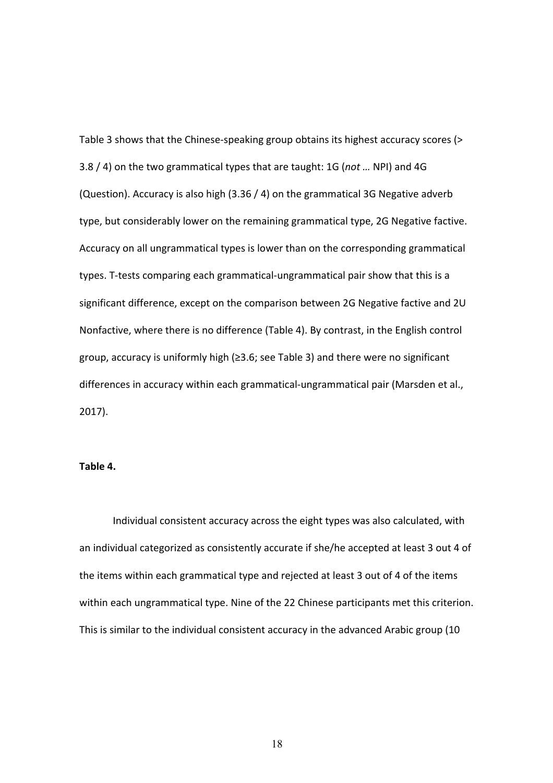Table 3 shows that the Chinese-speaking group obtains its highest accuracy scores (> 3.8 / 4) on the two grammatical types that are taught: 1G (*not …* NPI) and 4G (Question). Accuracy is also high (3.36 / 4) on the grammatical 3G Negative adverb type, but considerably lower on the remaining grammatical type, 2G Negative factive. Accuracy on all ungrammatical types is lower than on the corresponding grammatical types. T‐tests comparing each grammatical‐ungrammatical pair show that this is a significant difference, except on the comparison between 2G Negative factive and 2U Nonfactive, where there is no difference (Table 4). By contrast, in the English control group, accuracy is uniformly high (≥3.6; see Table 3) and there were no significant differences in accuracy within each grammatical‐ungrammatical pair (Marsden et al., 2017).

# **Table 4.**

Individual consistent accuracy across the eight types was also calculated, with an individual categorized as consistently accurate if she/he accepted at least 3 out 4 of the items within each grammatical type and rejected at least 3 out of 4 of the items within each ungrammatical type. Nine of the 22 Chinese participants met this criterion. This is similar to the individual consistent accuracy in the advanced Arabic group (10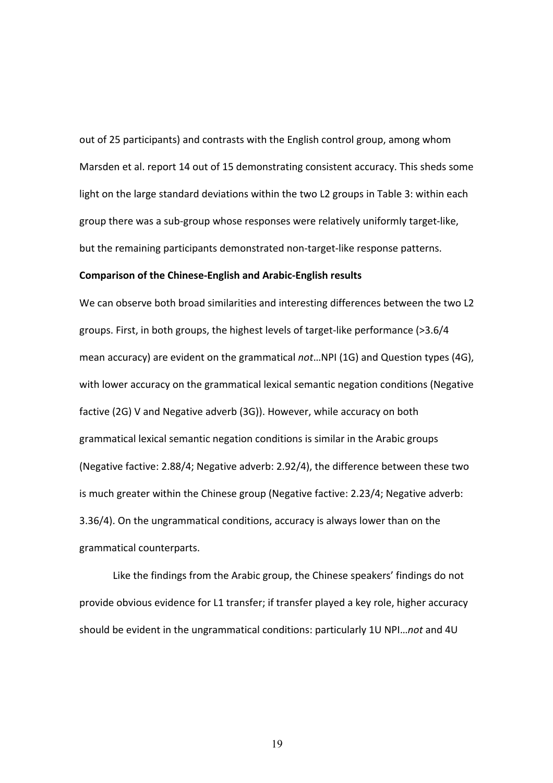out of 25 participants) and contrasts with the English control group, among whom Marsden et al. report 14 out of 15 demonstrating consistent accuracy. This sheds some light on the large standard deviations within the two L2 groups in Table 3: within each group there was a sub‐group whose responses were relatively uniformly target‐like, but the remaining participants demonstrated non‐target‐like response patterns.

#### **Comparison of the Chinese‐English and Arabic‐English results**

We can observe both broad similarities and interesting differences between the two L2 groups. First, in both groups, the highest levels of target‐like performance (>3.6/4 mean accuracy) are evident on the grammatical *not*…NPI (1G) and Question types (4G), with lower accuracy on the grammatical lexical semantic negation conditions (Negative factive (2G) V and Negative adverb (3G)). However, while accuracy on both grammatical lexical semantic negation conditions is similar in the Arabic groups (Negative factive: 2.88/4; Negative adverb: 2.92/4), the difference between these two is much greater within the Chinese group (Negative factive: 2.23/4; Negative adverb: 3.36/4). On the ungrammatical conditions, accuracy is always lower than on the grammatical counterparts.

Like the findings from the Arabic group, the Chinese speakers' findings do not provide obvious evidence for L1 transfer; if transfer played a key role, higher accuracy should be evident in the ungrammatical conditions: particularly 1U NPI…*not* and 4U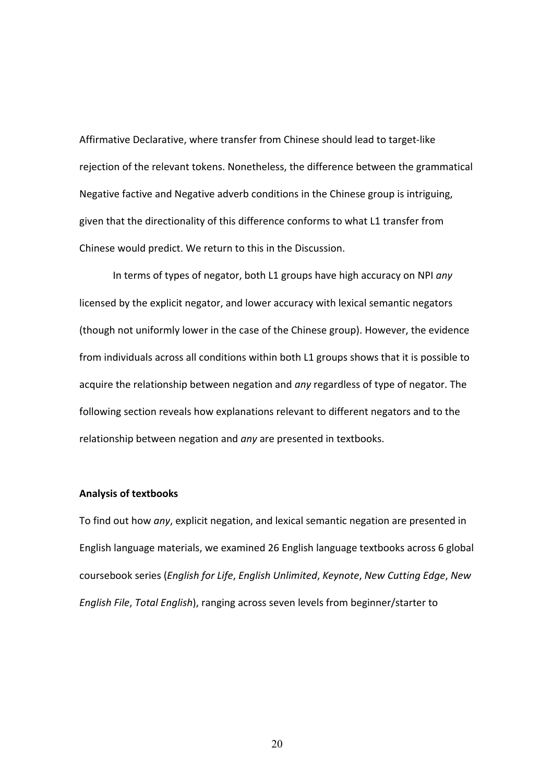Affirmative Declarative, where transfer from Chinese should lead to target‐like rejection of the relevant tokens. Nonetheless, the difference between the grammatical Negative factive and Negative adverb conditions in the Chinese group is intriguing, given that the directionality of this difference conforms to what L1 transfer from Chinese would predict. We return to this in the Discussion.

In terms of types of negator, both L1 groups have high accuracy on NPI *any* licensed by the explicit negator, and lower accuracy with lexical semantic negators (though not uniformly lower in the case of the Chinese group). However, the evidence from individuals across all conditions within both L1 groups shows that it is possible to acquire the relationship between negation and *any* regardless of type of negator. The following section reveals how explanations relevant to different negators and to the relationship between negation and *any* are presented in textbooks.

### **Analysis of textbooks**

To find out how *any*, explicit negation, and lexical semantic negation are presented in English language materials, we examined 26 English language textbooks across 6 global coursebook series (*English for Life*, *English Unlimited*, *Keynote*, *New Cutting Edge*, *New English File*, *Total English*), ranging across seven levels from beginner/starter to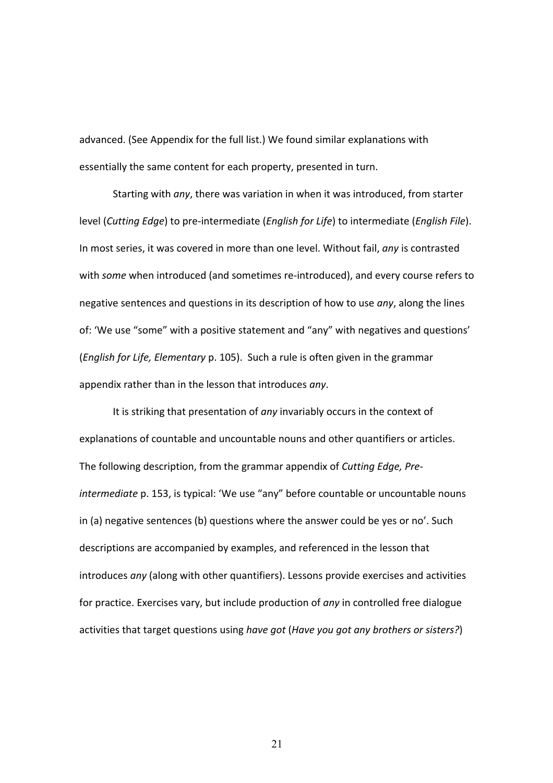advanced. (See Appendix for the full list.) We found similar explanations with essentially the same content for each property, presented in turn.

Starting with *any*, there was variation in when it was introduced, from starter level (*Cutting Edge*) to pre‐intermediate (*English for Life*) to intermediate (*English File*). In most series, it was covered in more than one level. Without fail, *any* is contrasted with *some* when introduced (and sometimes re‐introduced), and every course refers to negative sentences and questions in its description of how to use *any*, along the lines of: 'We use "some" with a positive statement and "any" with negatives and questions' (*English for Life, Elementary* p. 105). Such a rule is often given in the grammar appendix rather than in the lesson that introduces *any*.

It is striking that presentation of *any* invariably occurs in the context of explanations of countable and uncountable nouns and other quantifiers or articles. The following description, from the grammar appendix of *Cutting Edge, Pre‐ intermediate* p. 153, is typical: 'We use "any" before countable or uncountable nouns in (a) negative sentences (b) questions where the answer could be yes or no'. Such descriptions are accompanied by examples, and referenced in the lesson that introduces *any* (along with other quantifiers). Lessons provide exercises and activities for practice. Exercises vary, but include production of *any* in controlled free dialogue activities that target questions using *have got* (*Have you got any brothers or sisters?*)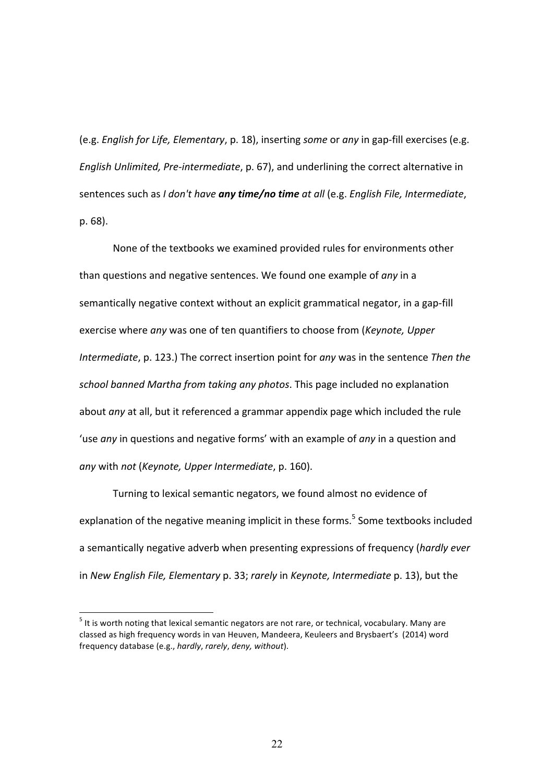(e.g. *English for Life, Elementary*, p. 18), inserting *some* or *any* in gap‐fill exercises (e.g. *English Unlimited, Pre‐intermediate*, p. 67), and underlining the correct alternative in sentences such as *I don't have any time/no time at all* (e.g. *English File, Intermediate*, p. 68).

None of the textbooks we examined provided rules for environments other than questions and negative sentences. We found one example of *any* in a semantically negative context without an explicit grammatical negator, in a gap-fill exercise where *any* was one of ten quantifiers to choose from (*Keynote, Upper Intermediate*, p. 123.) The correct insertion point for *any* was in the sentence *Then the school banned Martha from taking any photos*. This page included no explanation about *any* at all, but it referenced a grammar appendix page which included the rule 'use *any* in questions and negative forms' with an example of *any* in a question and *any* with *not* (*Keynote, Upper Intermediate*, p. 160).

Turning to lexical semantic negators, we found almost no evidence of explanation of the negative meaning implicit in these forms.<sup>5</sup> Some textbooks included a semantically negative adverb when presenting expressions of frequency (*hardly ever*  in *New English File, Elementary* p. 33; *rarely* in *Keynote, Intermediate* p. 13), but the

l.

 $<sup>5</sup>$  It is worth noting that lexical semantic negators are not rare, or technical, vocabulary. Many are</sup> classed as high frequency words in van Heuven, Mandeera, Keuleers and Brysbaert's (2014) word frequency database (e.g., *hardly*, *rarely*, *deny, without*).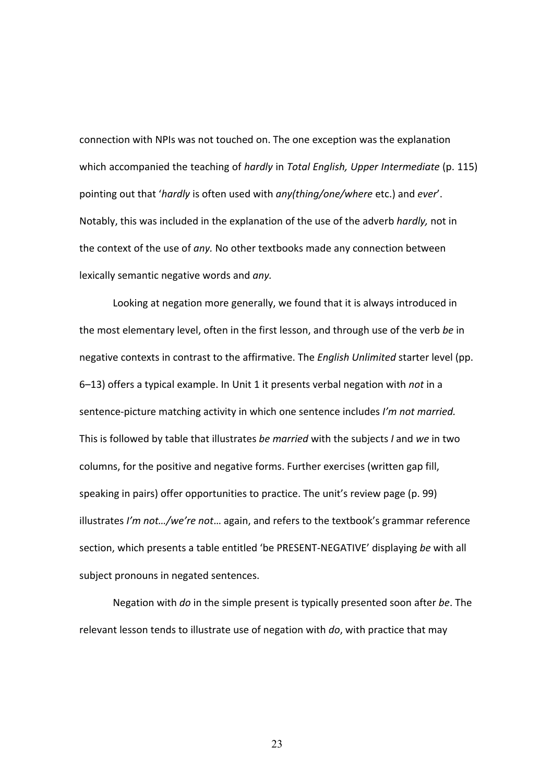connection with NPIs was not touched on. The one exception was the explanation which accompanied the teaching of *hardly* in *Total English, Upper Intermediate* (p. 115) pointing out that '*hardly* is often used with *any(thing/one/where* etc.) and *ever*'. Notably, this was included in the explanation of the use of the adverb *hardly,* not in the context of the use of *any.* No other textbooks made any connection between lexically semantic negative words and *any.*

Looking at negation more generally, we found that it is always introduced in the most elementary level, often in the first lesson, and through use of the verb *be* in negative contexts in contrast to the affirmative. The *English Unlimited* starter level (pp. 6–13) offers a typical example. In Unit 1 it presents verbal negation with *not* in a sentence‐picture matching activity in which one sentence includes *I'm not married.*  This is followed by table that illustrates *be married* with the subjects *I* and *we* in two columns, for the positive and negative forms. Further exercises (written gap fill, speaking in pairs) offer opportunities to practice. The unit's review page (p. 99) illustrates *I'm not…/we're not*… again, and refers to the textbook's grammar reference section, which presents a table entitled 'be PRESENT‐NEGATIVE' displaying *be* with all subject pronouns in negated sentences.

Negation with *do* in the simple present is typically presented soon after *be*. The relevant lesson tends to illustrate use of negation with *do*, with practice that may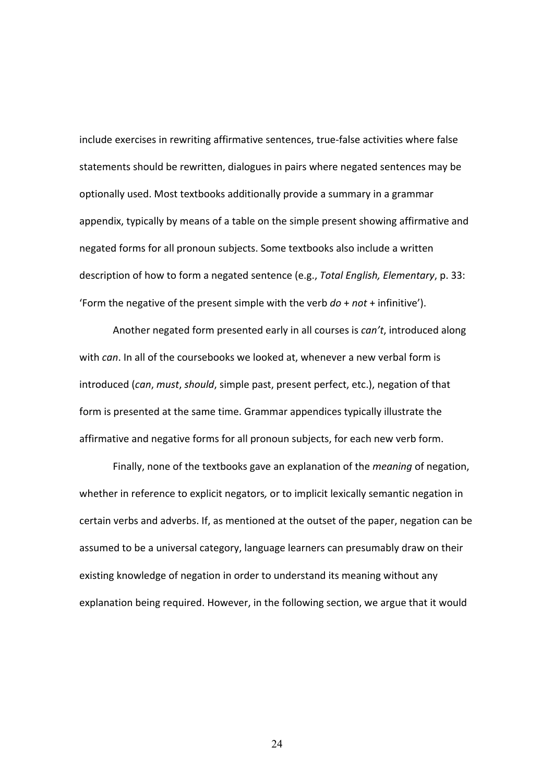include exercises in rewriting affirmative sentences, true‐false activities where false statements should be rewritten, dialogues in pairs where negated sentences may be optionally used. Most textbooks additionally provide a summary in a grammar appendix, typically by means of a table on the simple present showing affirmative and negated forms for all pronoun subjects. Some textbooks also include a written description of how to form a negated sentence (e.g., *Total English, Elementary*, p. 33: 'Form the negative of the present simple with the verb *do* + *not* + infinitive').

Another negated form presented early in all courses is *can't*, introduced along with *can*. In all of the coursebooks we looked at, whenever a new verbal form is introduced (*can*, *must*, *should*, simple past, present perfect, etc.), negation of that form is presented at the same time. Grammar appendices typically illustrate the affirmative and negative forms for all pronoun subjects, for each new verb form.

Finally, none of the textbooks gave an explanation of the *meaning* of negation, whether in reference to explicit negators*,* or to implicit lexically semantic negation in certain verbs and adverbs. If, as mentioned at the outset of the paper, negation can be assumed to be a universal category, language learners can presumably draw on their existing knowledge of negation in order to understand its meaning without any explanation being required. However, in the following section, we argue that it would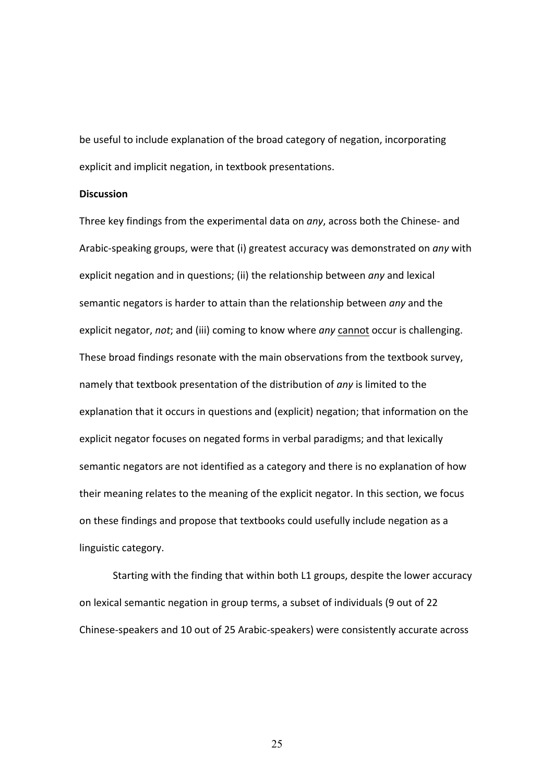be useful to include explanation of the broad category of negation, incorporating explicit and implicit negation, in textbook presentations.

#### **Discussion**

Three key findings from the experimental data on *any*, across both the Chinese‐ and Arabic‐speaking groups, were that (i) greatest accuracy was demonstrated on *any* with explicit negation and in questions; (ii) the relationship between *any* and lexical semantic negators is harder to attain than the relationship between *any* and the explicit negator, *not*; and (iii) coming to know where *any* cannot occur is challenging. These broad findings resonate with the main observations from the textbook survey, namely that textbook presentation of the distribution of *any* is limited to the explanation that it occurs in questions and (explicit) negation; that information on the explicit negator focuses on negated forms in verbal paradigms; and that lexically semantic negators are not identified as a category and there is no explanation of how their meaning relates to the meaning of the explicit negator. In this section, we focus on these findings and propose that textbooks could usefully include negation as a linguistic category.

 Starting with the finding that within both L1 groups, despite the lower accuracy on lexical semantic negation in group terms, a subset of individuals (9 out of 22 Chinese‐speakers and 10 out of 25 Arabic‐speakers) were consistently accurate across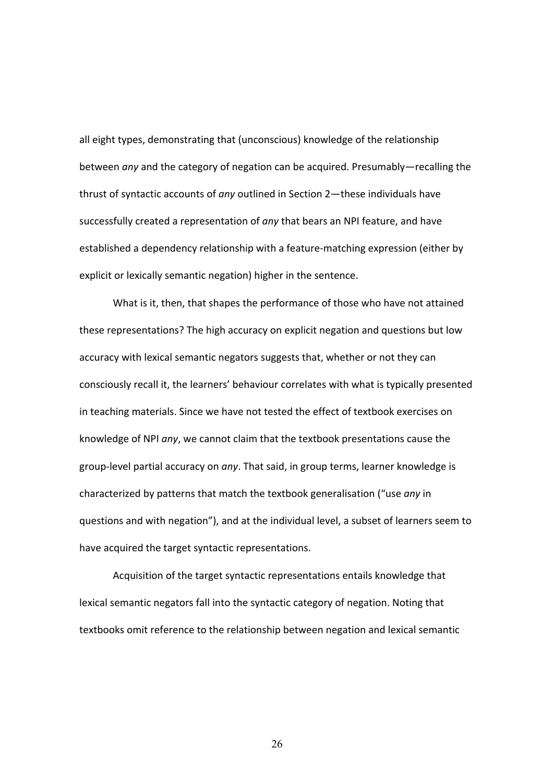all eight types, demonstrating that (unconscious) knowledge of the relationship between *any* and the category of negation can be acquired. Presumably—recalling the thrust of syntactic accounts of *any* outlined in Section 2—these individuals have successfully created a representation of *any* that bears an NPI feature, and have established a dependency relationship with a feature‐matching expression (either by explicit or lexically semantic negation) higher in the sentence.

What is it, then, that shapes the performance of those who have not attained these representations? The high accuracy on explicit negation and questions but low accuracy with lexical semantic negators suggests that, whether or not they can consciously recall it, the learners' behaviour correlates with what is typically presented in teaching materials. Since we have not tested the effect of textbook exercises on knowledge of NPI *any*, we cannot claim that the textbook presentations cause the group‐level partial accuracy on *any*. That said, in group terms, learner knowledge is characterized by patterns that match the textbook generalisation ("use *any* in questions and with negation"), and at the individual level, a subset of learners seem to have acquired the target syntactic representations.

Acquisition of the target syntactic representations entails knowledge that lexical semantic negators fall into the syntactic category of negation. Noting that textbooks omit reference to the relationship between negation and lexical semantic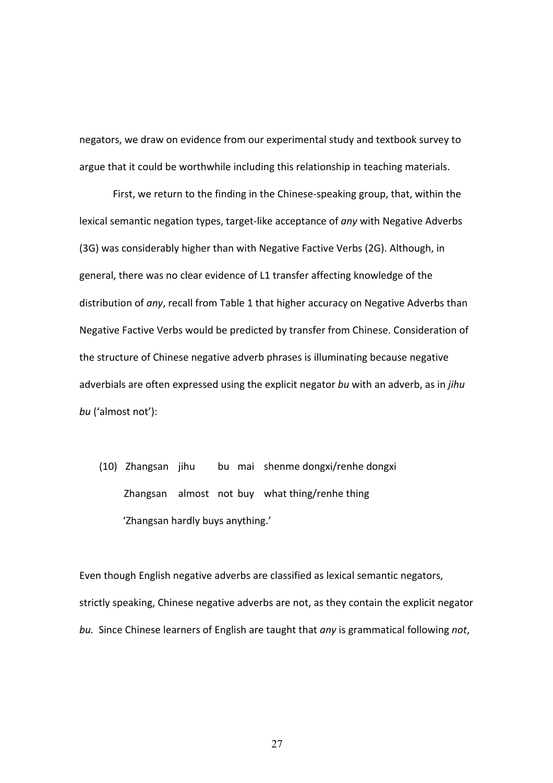negators, we draw on evidence from our experimental study and textbook survey to argue that it could be worthwhile including this relationship in teaching materials.

First, we return to the finding in the Chinese-speaking group, that, within the lexical semantic negation types, target‐like acceptance of *any* with Negative Adverbs (3G) was considerably higher than with Negative Factive Verbs (2G). Although, in general, there was no clear evidence of L1 transfer affecting knowledge of the distribution of *any*, recall from Table 1 that higher accuracy on Negative Adverbs than Negative Factive Verbs would be predicted by transfer from Chinese. Consideration of the structure of Chinese negative adverb phrases is illuminating because negative adverbials are often expressed using the explicit negator *bu* with an adverb, as in *jihu bu* ('almost not'):

(10) Zhangsan jihu bu mai shenme dongxi/renhe dongxi Zhangsan almost not buy what thing/renhe thing 'Zhangsan hardly buys anything.'

Even though English negative adverbs are classified as lexical semantic negators, strictly speaking, Chinese negative adverbs are not, as they contain the explicit negator *bu.*  Since Chinese learners of English are taught that *any* is grammatical following *not*,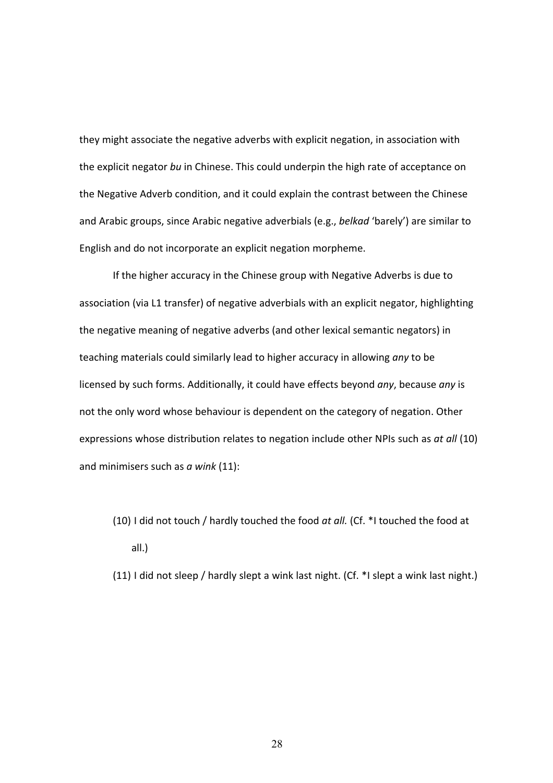they might associate the negative adverbs with explicit negation, in association with the explicit negator *bu* in Chinese. This could underpin the high rate of acceptance on the Negative Adverb condition, and it could explain the contrast between the Chinese and Arabic groups, since Arabic negative adverbials (e.g., *belkad* 'barely') are similar to English and do not incorporate an explicit negation morpheme.

If the higher accuracy in the Chinese group with Negative Adverbs is due to association (via L1 transfer) of negative adverbials with an explicit negator, highlighting the negative meaning of negative adverbs (and other lexical semantic negators) in teaching materials could similarly lead to higher accuracy in allowing *any* to be licensed by such forms. Additionally, it could have effects beyond *any*, because *any* is not the only word whose behaviour is dependent on the category of negation. Other expressions whose distribution relates to negation include other NPIs such as *at all* (10) and minimisers such as *a wink* (11):

(10) I did not touch / hardly touched the food *at all.* (Cf. \*I touched the food at all.)

(11) I did not sleep / hardly slept a wink last night. (Cf. \*I slept a wink last night.)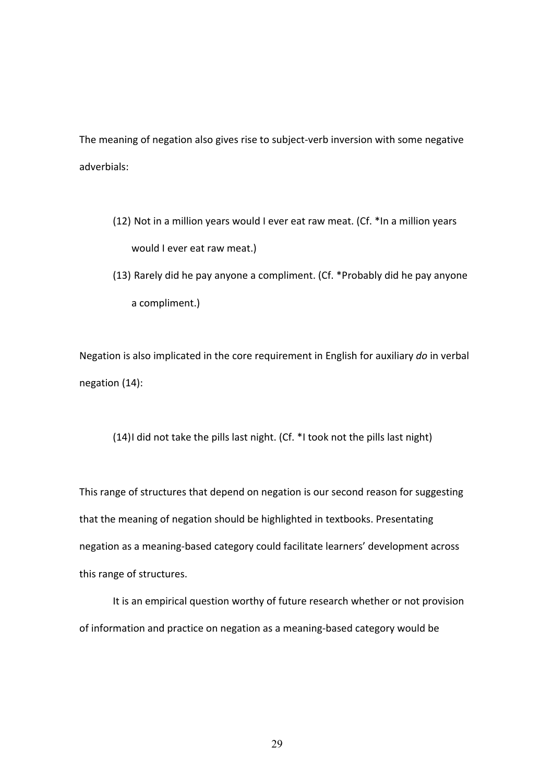The meaning of negation also gives rise to subject-verb inversion with some negative adverbials:

- (12) Not in a million years would I ever eat raw meat. (Cf. \*In a million years would I ever eat raw meat.)
- (13) Rarely did he pay anyone a compliment. (Cf. \*Probably did he pay anyone a compliment.)

Negation is also implicated in the core requirement in English for auxiliary *do* in verbal negation (14):

(14)I did not take the pills last night. (Cf. \*I took not the pills last night)

This range of structures that depend on negation is our second reason for suggesting that the meaning of negation should be highlighted in textbooks. Presentating negation as a meaning‐based category could facilitate learners' development across this range of structures.

It is an empirical question worthy of future research whether or not provision of information and practice on negation as a meaning‐based category would be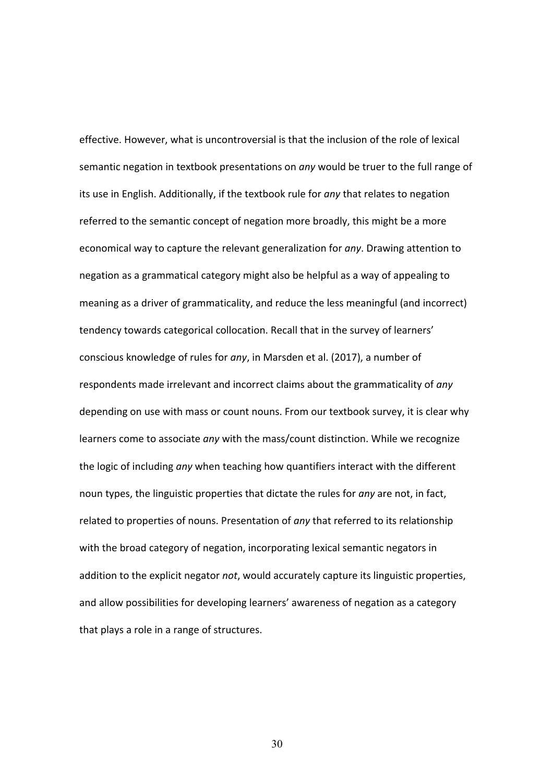effective. However, what is uncontroversial is that the inclusion of the role of lexical semantic negation in textbook presentations on *any* would be truer to the full range of its use in English. Additionally, if the textbook rule for *any* that relates to negation referred to the semantic concept of negation more broadly, this might be a more economical way to capture the relevant generalization for *any*. Drawing attention to negation as a grammatical category might also be helpful as a way of appealing to meaning as a driver of grammaticality, and reduce the less meaningful (and incorrect) tendency towards categorical collocation. Recall that in the survey of learners' conscious knowledge of rules for *any*, in Marsden et al. (2017), a number of respondents made irrelevant and incorrect claims about the grammaticality of *any* depending on use with mass or count nouns. From our textbook survey, it is clear why learners come to associate *any* with the mass/count distinction. While we recognize the logic of including *any* when teaching how quantifiers interact with the different noun types, the linguistic properties that dictate the rules for *any* are not, in fact, related to properties of nouns. Presentation of *any* that referred to its relationship with the broad category of negation, incorporating lexical semantic negators in addition to the explicit negator *not*, would accurately capture its linguistic properties, and allow possibilities for developing learners' awareness of negation as a category that plays a role in a range of structures.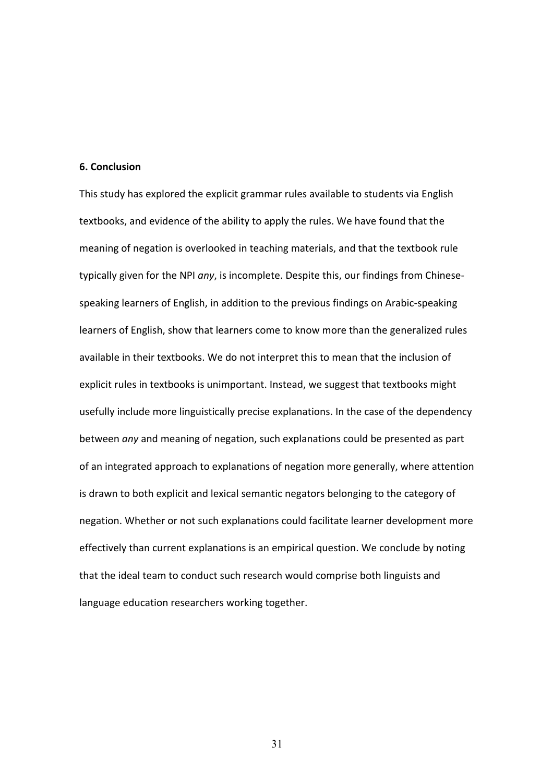#### **6. Conclusion**

This study has explored the explicit grammar rules available to students via English textbooks, and evidence of the ability to apply the rules. We have found that the meaning of negation is overlooked in teaching materials, and that the textbook rule typically given for the NPI *any*, is incomplete. Despite this, our findings from Chinese‐ speaking learners of English, in addition to the previous findings on Arabic‐speaking learners of English, show that learners come to know more than the generalized rules available in their textbooks. We do not interpret this to mean that the inclusion of explicit rules in textbooks is unimportant. Instead, we suggest that textbooks might usefully include more linguistically precise explanations. In the case of the dependency between *any* and meaning of negation, such explanations could be presented as part of an integrated approach to explanations of negation more generally, where attention is drawn to both explicit and lexical semantic negators belonging to the category of negation. Whether or not such explanations could facilitate learner development more effectively than current explanations is an empirical question. We conclude by noting that the ideal team to conduct such research would comprise both linguists and language education researchers working together.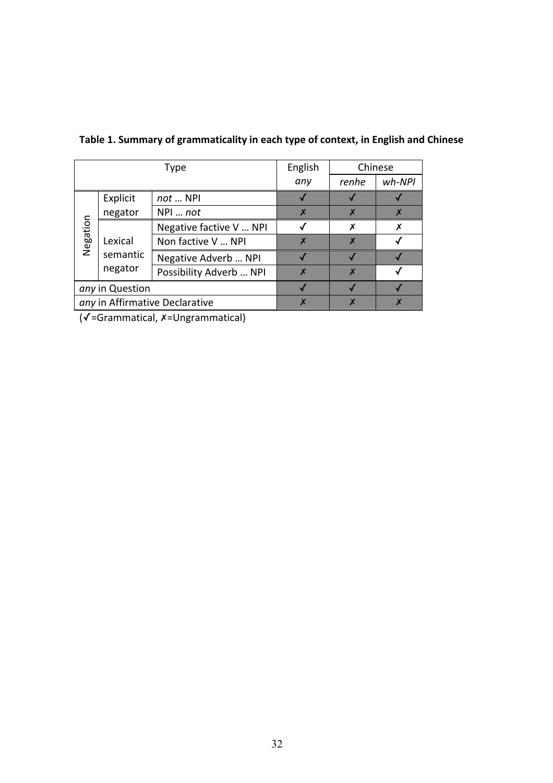| Type                           |          | English                 | Chinese |          |  |
|--------------------------------|----------|-------------------------|---------|----------|--|
|                                |          | any                     | renhe   | $wh-NPI$ |  |
|                                | Explicit | not  NPI                |         |          |  |
|                                | negator  | NPI  not                |         |          |  |
| Negation                       |          | Negative factive V  NPI |         |          |  |
|                                | Lexical  | Non factive V  NPI      |         |          |  |
|                                | semantic | Negative Adverb  NPI    |         |          |  |
|                                | negator  | Possibility Adverb  NPI |         |          |  |
| any in Question                |          |                         |         |          |  |
| any in Affirmative Declarative |          |                         |         |          |  |

**Table 1. Summary of grammaticality in each type of context, in English and Chinese** 

(✓=Grammatical, ✗=Ungrammatical)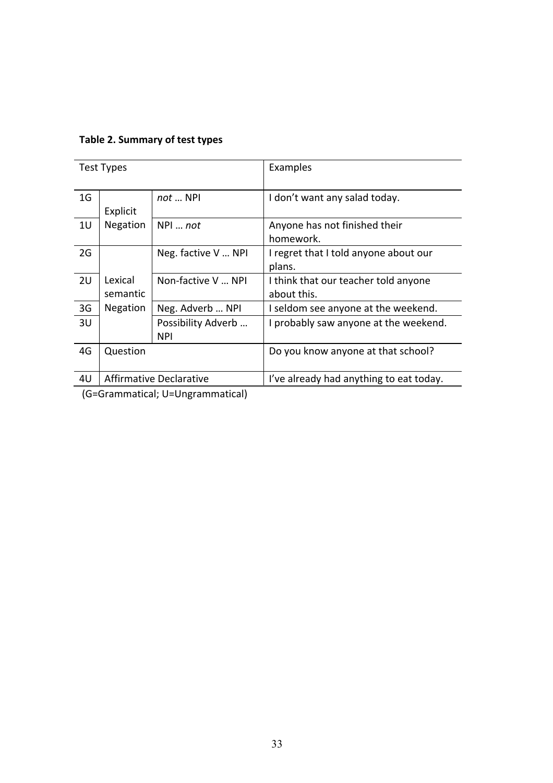| Test Types                                                                                                                                                                                                                                                                                                         |                         |                                  | Examples                                            |
|--------------------------------------------------------------------------------------------------------------------------------------------------------------------------------------------------------------------------------------------------------------------------------------------------------------------|-------------------------|----------------------------------|-----------------------------------------------------|
| 1 <sub>G</sub>                                                                                                                                                                                                                                                                                                     | Explicit                | $not \dots$ NPI                  | I don't want any salad today.                       |
| 1 <sub>U</sub>                                                                                                                                                                                                                                                                                                     | Negation                | $NPI \dots not$                  | Anyone has not finished their<br>homework.          |
| 2G                                                                                                                                                                                                                                                                                                                 |                         | Neg. factive V  NPI              | I regret that I told anyone about our<br>plans.     |
| 2U                                                                                                                                                                                                                                                                                                                 | Lexical<br>semantic     | Non-factive V  NPI               | I think that our teacher told anyone<br>about this. |
| 3 <sub>G</sub>                                                                                                                                                                                                                                                                                                     | Negation                | Neg. Adverb  NPI                 | I seldom see anyone at the weekend.                 |
| 3U                                                                                                                                                                                                                                                                                                                 |                         | Possibility Adverb<br><b>NPI</b> | I probably saw anyone at the weekend.               |
| 4G                                                                                                                                                                                                                                                                                                                 | Question                |                                  | Do you know anyone at that school?                  |
| 4U                                                                                                                                                                                                                                                                                                                 | Affirmative Declarative |                                  | I've already had anything to eat today.             |
| $\sqrt{2}$ $\sqrt{2}$ $\sqrt{2}$ $\sqrt{2}$ $\sqrt{2}$ $\sqrt{2}$ $\sqrt{2}$ $\sqrt{2}$ $\sqrt{2}$ $\sqrt{2}$ $\sqrt{2}$ $\sqrt{2}$ $\sqrt{2}$ $\sqrt{2}$ $\sqrt{2}$ $\sqrt{2}$ $\sqrt{2}$ $\sqrt{2}$ $\sqrt{2}$ $\sqrt{2}$ $\sqrt{2}$ $\sqrt{2}$ $\sqrt{2}$ $\sqrt{2}$ $\sqrt{2}$ $\sqrt{2}$ $\sqrt{2}$ $\sqrt{2$ |                         |                                  |                                                     |

# **Table 2. Summary of test types**

(G=Grammatical; U=Ungrammatical)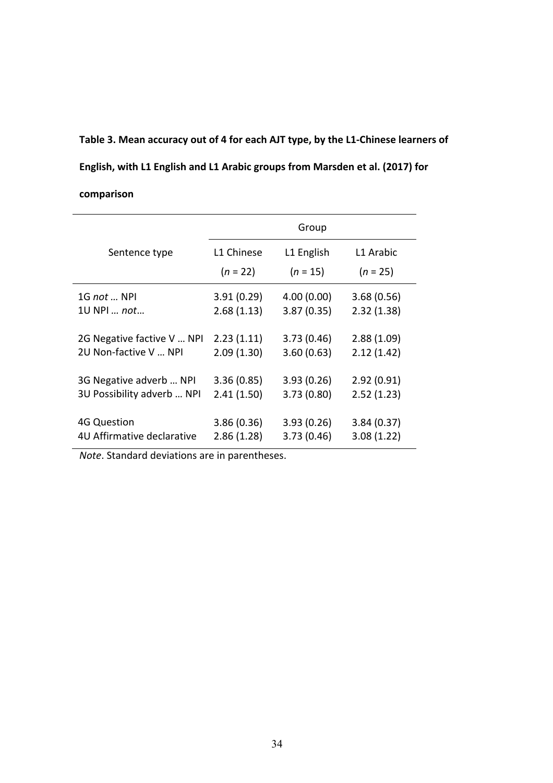# **Table 3. Mean accuracy out of 4 for each AJT type, by the L1‐Chinese learners of English, with L1 English and L1 Arabic groups from Marsden et al. (2017) for comparison**

|                                                     |                          | Group                     |                          |
|-----------------------------------------------------|--------------------------|---------------------------|--------------------------|
| Sentence type                                       | L1 Chinese               | L1 English                | L1 Arabic                |
|                                                     | $(n = 22)$               | $(n = 15)$                | $(n = 25)$               |
| 1G not  NPI                                         | 3.91(0.29)               | 4.00(0.00)                | 3.68(0.56)               |
| 10 NPL  not                                         | 2.68(1.13)               | 3.87(0.35)                | 2.32(1.38)               |
| 2G Negative factive V  NPI<br>2U Non-factive V  NPI | 2.23(1.11)<br>2.09(1.30) | 3.73(0.46)<br>3.60(0.63)  | 2.88(1.09)<br>2.12(1.42) |
| 3G Negative adverb  NPI                             | 3.36(0.85)               | 3.93(0.26)                | 2.92(0.91)               |
| 3U Possibility adverb  NPI                          | 2.41(1.50)               | 3.73(0.80)                | 2.52(1.23)               |
| <b>4G Question</b><br>4U Affirmative declarative    | 3.86(0.36)<br>2.86(1.28) | 3.93(0.26)<br>3.73 (0.46) | 3.84(0.37)<br>3.08(1.22) |

*Note*. Standard deviations are in parentheses.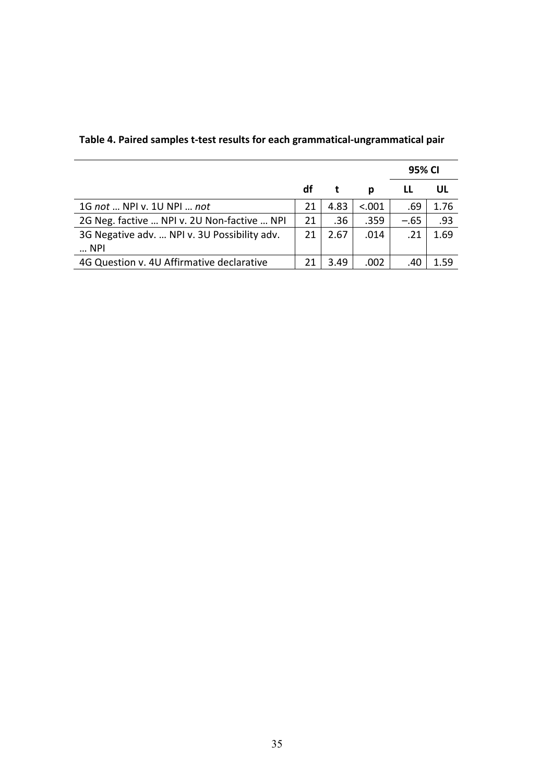|                                                              |    |      |        | 95% CI |      |
|--------------------------------------------------------------|----|------|--------|--------|------|
|                                                              | df |      | р      |        | UL   |
| 1G not  NPI v. 1U NPI  not                                   | 21 | 4.83 | < .001 | .69    | 1.76 |
| 2G Neg. factive  NPI v. 2U Non-factive  NPI                  | 21 | .36  | .359   | $-.65$ | .93  |
| 3G Negative adv.  NPI v. 3U Possibility adv.<br>$\ldots$ NPI | 21 | 2.67 | .014   | .21    | 1.69 |
|                                                              |    |      |        |        |      |
| 4G Question v. 4U Affirmative declarative                    | 21 | 3.49 | .002   | .40    | 1.59 |

**Table 4. Paired samples t‐test results for each grammatical‐ungrammatical pair**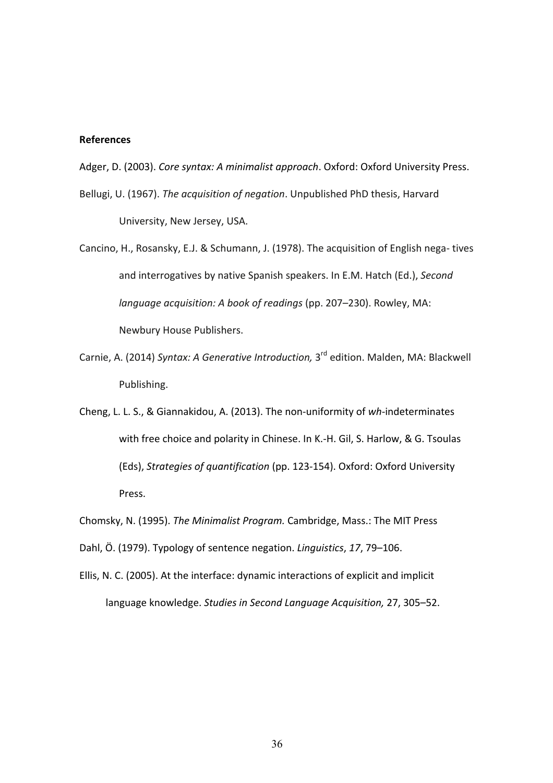# **References**

Adger, D. (2003). *Core syntax: A minimalist approach*. Oxford: Oxford University Press.

- Bellugi, U. (1967). *The acquisition of negation*. Unpublished PhD thesis, Harvard University, New Jersey, USA.
- Cancino, H., Rosansky, E.J. & Schumann, J. (1978). The acquisition of English nega‐ tives and interrogatives by native Spanish speakers. In E.M. Hatch (Ed.), *Second language acquisition: A book of readings* (pp. 207–230). Rowley, MA: Newbury House Publishers.
- Carnie, A. (2014) *Syntax: A Generative Introduction,* 3<sup>rd</sup> edition. Malden, MA: Blackwell Publishing.
- Cheng, L. L. S., & Giannakidou, A. (2013). The non‐uniformity of *wh‐*indeterminates with free choice and polarity in Chinese. In K.-H. Gil, S. Harlow, & G. Tsoulas (Eds), *Strategies of quantification* (pp. 123‐154). Oxford: Oxford University Press.

Chomsky, N. (1995). *The Minimalist Program.* Cambridge, Mass.: The MIT Press

Dahl, Ö. (1979). Typology of sentence negation. *Linguistics*, *17*, 79–106.

Ellis, N. C. (2005). At the interface: dynamic interactions of explicit and implicit language knowledge. *Studies in Second Language Acquisition,* 27, 305–52.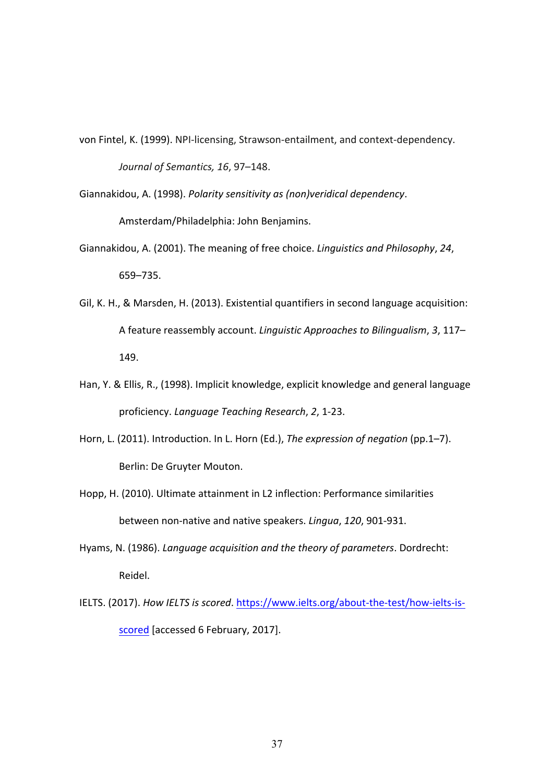- von Fintel, K. (1999). NPI-licensing, Strawson-entailment, and context-dependency. *Journal of Semantics, 16*, 97–148.
- Giannakidou, A. (1998). *Polarity sensitivity as (non)veridical dependency*. Amsterdam/Philadelphia: John Benjamins.
- Giannakidou, A. (2001). The meaning of free choice. *Linguistics and Philosophy*, *24*, 659–735.
- Gil, K. H., & Marsden, H. (2013). Existential quantifiers in second language acquisition: A feature reassembly account. *Linguistic Approaches to Bilingualism*, *3*, 117– 149.
- Han, Y. & Ellis, R., (1998). Implicit knowledge, explicit knowledge and general language proficiency. *Language Teaching Research*, *2*, 1‐23.
- Horn, L. (2011). Introduction. In L. Horn (Ed.), *The expression of negation* (pp.1–7). Berlin: De Gruyter Mouton.
- Hopp, H. (2010). Ultimate attainment in L2 inflection: Performance similarities between non‐native and native speakers. *Lingua*, *120*, 901‐931.
- Hyams, N. (1986). *Language acquisition and the theory of parameters*. Dordrecht: Reidel.
- IELTS. (2017). *How IELTS is scored*. https://www.ielts.org/about‐the‐test/how‐ielts‐is‐ scored [accessed 6 February, 2017].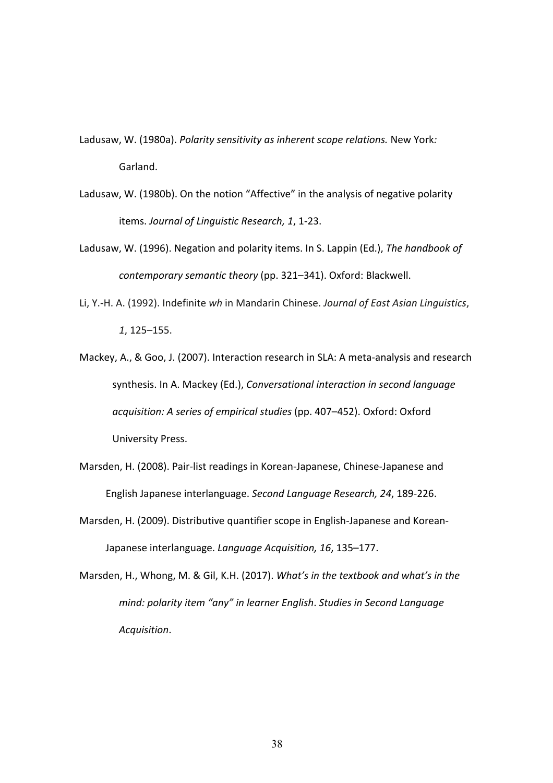- Ladusaw, W. (1980a). *Polarity sensitivity as inherent scope relations.* New York*:*  Garland.
- Ladusaw, W. (1980b). On the notion "Affective" in the analysis of negative polarity items. *Journal of Linguistic Research, 1*, 1‐23.
- Ladusaw, W. (1996). Negation and polarity items. In S. Lappin (Ed.), *The handbook of contemporary semantic theory* (pp. 321–341). Oxford: Blackwell.
- Li, Y.‐H. A. (1992). Indefinite *wh* in Mandarin Chinese. *Journal of East Asian Linguistics*, *1*, 125–155.
- Mackey, A., & Goo, J. (2007). Interaction research in SLA: A meta‐analysis and research synthesis. In A. Mackey (Ed.), *Conversational interaction in second language acquisition: A series of empirical studies* (pp. 407–452). Oxford: Oxford University Press.
- Marsden, H. (2008). Pair‐list readings in Korean‐Japanese, Chinese‐Japanese and English Japanese interlanguage. *Second Language Research, 24*, 189‐226.
- Marsden, H. (2009). Distributive quantifier scope in English‐Japanese and Korean‐ Japanese interlanguage. *Language Acquisition, 16*, 135–177.
- Marsden, H., Whong, M. & Gil, K.H. (2017). *What's in the textbook and what's in the mind: polarity item "any" in learner English*. *Studies in Second Language Acquisition*.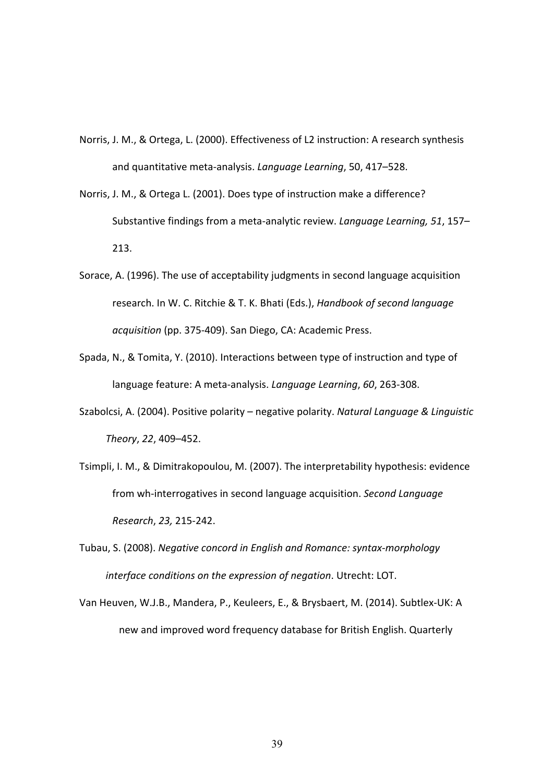- Norris, J. M., & Ortega, L. (2000). Effectiveness of L2 instruction: A research synthesis and quantitative meta‐analysis. *Language Learning*, 50, 417–528.
- Norris, J. M., & Ortega L. (2001). Does type of instruction make a difference? Substantive findings from a meta‐analytic review. *Language Learning, 51*, 157– 213.
- Sorace, A. (1996). The use of acceptability judgments in second language acquisition research. In W. C. Ritchie & T. K. Bhati (Eds.), *Handbook of second language acquisition* (pp. 375‐409). San Diego, CA: Academic Press.
- Spada, N., & Tomita, Y. (2010). Interactions between type of instruction and type of language feature: A meta‐analysis. *Language Learning*, *60*, 263‐308.
- Szabolcsi, A. (2004). Positive polarity negative polarity. *Natural Language & Linguistic Theory*, *22*, 409–452.
- Tsimpli, I. M., & Dimitrakopoulou, M. (2007). The interpretability hypothesis: evidence from wh‐interrogatives in second language acquisition. *Second Language Research*, *23,* 215‐242.
- Tubau, S. (2008). *Negative concord in English and Romance: syntax‐morphology interface conditions on the expression of negation*. Utrecht: LOT.
- Van Heuven, W.J.B., Mandera, P., Keuleers, E., & Brysbaert, M. (2014). Subtlex‐UK: A new and improved word frequency database for British English. Quarterly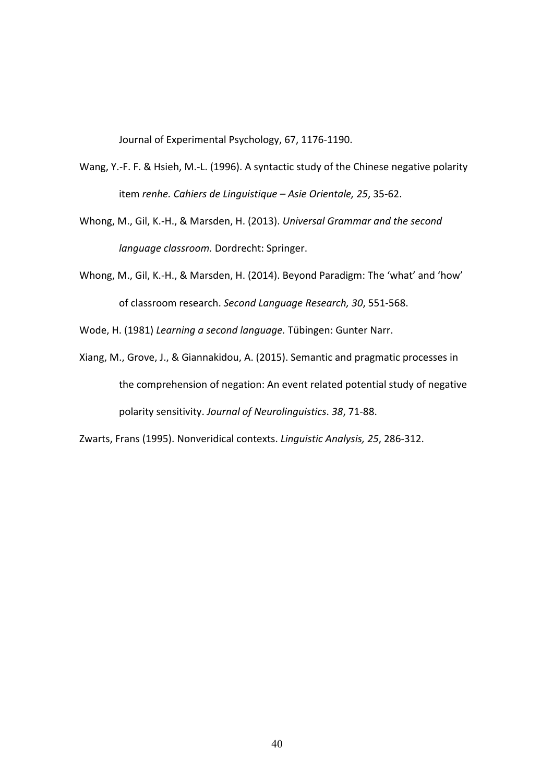Journal of Experimental Psychology, 67, 1176‐1190.

- Wang, Y.-F. F. & Hsieh, M.-L. (1996). A syntactic study of the Chinese negative polarity item *renhe. Cahiers de Linguistique – Asie Orientale, 25*, 35‐62.
- Whong, M., Gil, K.‐H., & Marsden, H. (2013). *Universal Grammar and the second language classroom.* Dordrecht: Springer.
- Whong, M., Gil, K.‐H., & Marsden, H. (2014). Beyond Paradigm: The 'what' and 'how' of classroom research. *Second Language Research, 30*, 551‐568.
- Wode, H. (1981) *Learning a second language.* Tübingen: Gunter Narr.
- Xiang, M., Grove, J., & Giannakidou, A. (2015). Semantic and pragmatic processes in the comprehension of negation: An event related potential study of negative polarity sensitivity. *Journal of Neurolinguistics*. *38*, 71‐88.

Zwarts, Frans (1995). Nonveridical contexts. *Linguistic Analysis, 25*, 286‐312.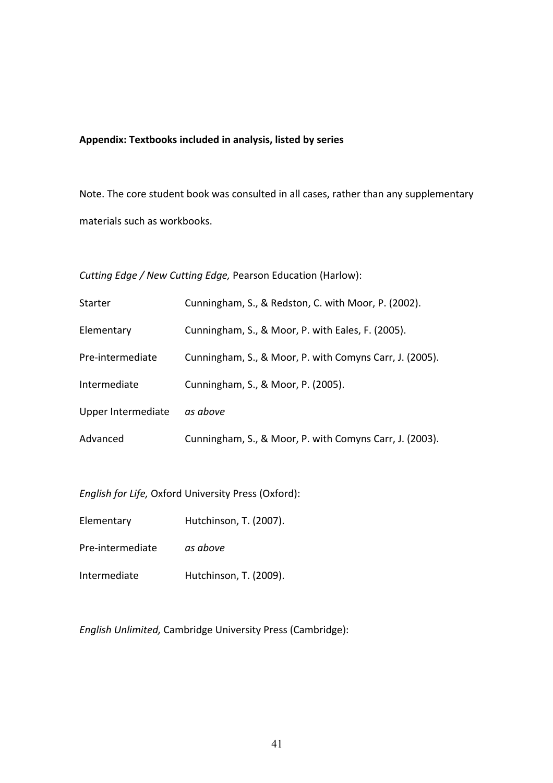# **Appendix: Textbooks included in analysis, listed by series**

Note. The core student book was consulted in all cases, rather than any supplementary materials such as workbooks.

*Cutting Edge / New Cutting Edge,* Pearson Education (Harlow):

| Starter            | Cunningham, S., & Redston, C. with Moor, P. (2002).     |
|--------------------|---------------------------------------------------------|
| Elementary         | Cunningham, S., & Moor, P. with Eales, F. (2005).       |
| Pre-intermediate   | Cunningham, S., & Moor, P. with Comyns Carr, J. (2005). |
| Intermediate       | Cunningham, S., & Moor, P. (2005).                      |
| Upper Intermediate | as above                                                |
| Advanced           | Cunningham, S., & Moor, P. with Comyns Carr, J. (2003). |

*English for Life,* Oxford University Press (Oxford):

Elementary Hutchinson, T. (2007).

Pre‐intermediate *as above*

Intermediate Hutchinson, T. (2009).

*English Unlimited,* Cambridge University Press (Cambridge):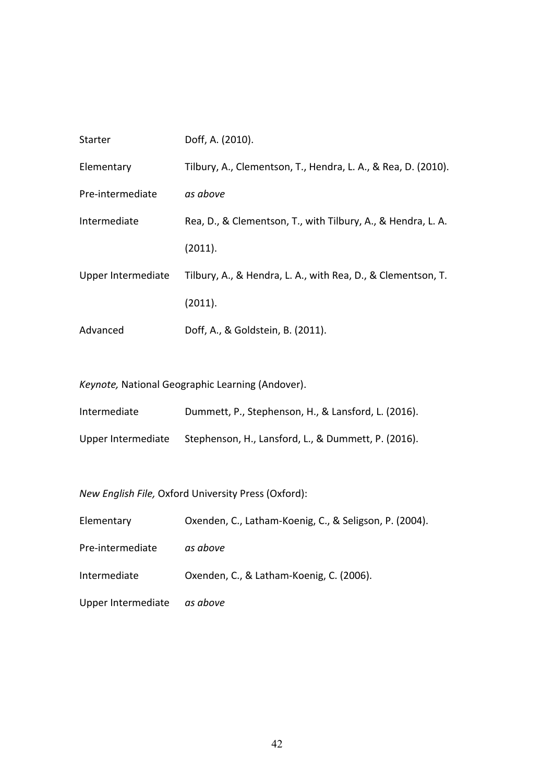| Starter            | Doff, A. (2010).                                              |
|--------------------|---------------------------------------------------------------|
| Elementary         | Tilbury, A., Clementson, T., Hendra, L. A., & Rea, D. (2010). |
| Pre-intermediate   | as above                                                      |
| Intermediate       | Rea, D., & Clementson, T., with Tilbury, A., & Hendra, L. A.  |
|                    | (2011).                                                       |
| Upper Intermediate | Tilbury, A., & Hendra, L. A., with Rea, D., & Clementson, T.  |
|                    | (2011).                                                       |
| Advanced           | Doff, A., & Goldstein, B. (2011).                             |

*Keynote,* National Geographic Learning (Andover).

Intermediate Dummett, P., Stephenson, H., & Lansford, L. (2016).

Upper Intermediate Stephenson, H., Lansford, L., & Dummett, P. (2016).

*New English File,* Oxford University Press (Oxford):

| Elementary                  | Oxenden, C., Latham-Koenig, C., & Seligson, P. (2004). |
|-----------------------------|--------------------------------------------------------|
| Pre-intermediate            | as above                                               |
| Intermediate                | Oxenden, C., & Latham-Koenig, C. (2006).               |
| Upper Intermediate as above |                                                        |